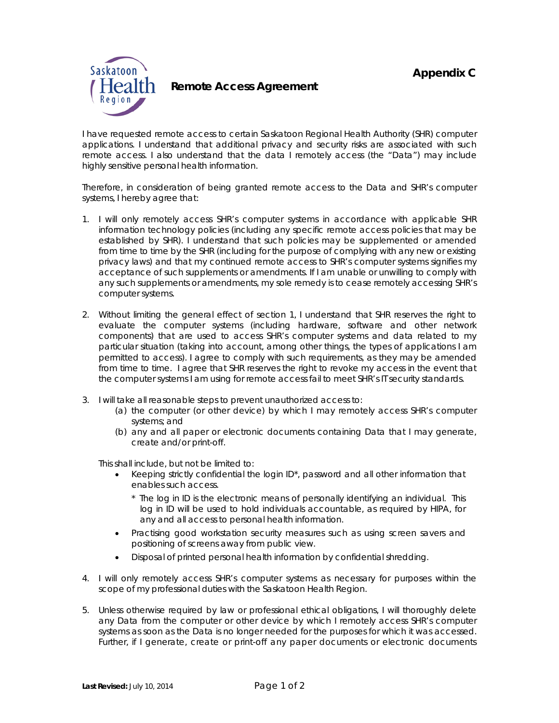

**Health** Remote Access Agreement

I have requested remote access to certain Saskatoon Regional Health Authority (SHR) computer applications. I understand that additional privacy and security risks are associated with such remote access. I also understand that the data I remotely access (the "Data") may include highly sensitive personal health information.

Therefore, in consideration of being granted remote access to the Data and SHR's computer systems, I hereby agree that:

- 1. I will only remotely access SHR's computer systems in accordance with applicable SHR information technology policies (including any specific remote access policies that may be established by SHR). I understand that such policies may be supplemented or amended from time to time by the SHR (including for the purpose of complying with any new or existing privacy laws) and that my continued remote access to SHR's computer systems signifies my acceptance of such supplements or amendments. If I am unable or unwilling to comply with any such supplements or amendments, my sole remedy is to cease remotely accessing SHR's computer systems.
- 2. Without limiting the general effect of section 1, I understand that SHR reserves the right to evaluate the computer systems (including hardware, software and other network components) that are used to access SHR's computer systems and data related to my particular situation (taking into account, among other things, the types of applications I am permitted to access). I agree to comply with such requirements, as they may be amended from time to time. I agree that SHR reserves the right to revoke my access in the event that the computer systems I am using for remote access fail to meet SHR's IT security standards.
- 3. I will take all reasonable steps to prevent unauthorized access to:
	- (a) the computer (or other device) by which I may remotely access SHR's computer systems; and
	- (b) any and all paper or electronic documents containing Data that I may generate, create and/or print-off.

This shall include, but not be limited to:

- Keeping strictly confidential the login ID\*, password and all other information that enables such access.
	- *\* The log in ID is the electronic means of personally identifying an individual. This*  log in ID will be used to hold individuals accountable, as required by HIPA, for *any and all access to personal health information.*
- Practising good workstation security measures such as using screen savers and positioning of screens away from public view.
- Disposal of printed personal health information by confidential shredding.
- 4. I will only remotely access SHR's computer systems as necessary for purposes within the scope of my professional duties with the Saskatoon Health Region.
- 5. Unless otherwise required by law or professional ethical obligations, I will thoroughly delete any Data from the computer or other device by which I remotely access SHR's computer systems as soon as the Data is no longer needed for the purposes for which it was accessed. Further, if I generate, create or print-off any paper documents or electronic documents